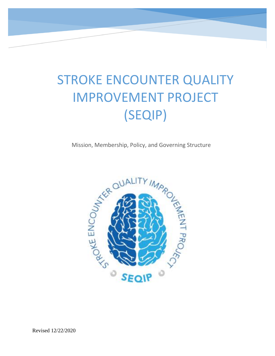# STROKE ENCOUNTER QUALITY IMPROVEMENT PROJECT (SEQIP)

Mission, Membership, Policy, and Governing Structure



i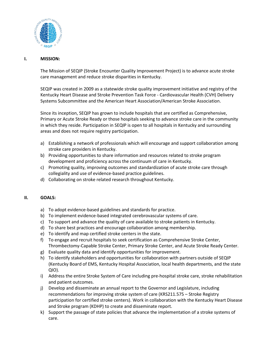

#### **I. MISSION:**

The Mission of SEQIP (Stroke Encounter Quality Improvement Project) is to advance acute stroke care management and reduce stroke disparities in Kentucky.

SEQIP was created in 2009 as a statewide stroke quality improvement initiative and registry of the Kentucky Heart Disease and Stroke Prevention Task Force - Cardiovascular Health (CVH) Delivery Systems Subcommittee and the American Heart Association/American Stroke Association.

Since its inception, SEQIP has grown to include hospitals that are certified as Comprehensive, Primary or Acute Stroke Ready or those hospitals seeking to advance stroke care in the community in which they reside. Participation in SEQIP is open to all hospitals in Kentucky and surrounding areas and does not require registry participation.

- a) Establishing a network of professionals which will encourage and support collaboration among stroke care providers in Kentucky.
- b) Providing opportunities to share information and resources related to stroke program development and proficiency across the continuum of care in Kentucky.
- c) Promoting quality, improving outcomes and standardization of acute stroke care through collegiality and use of evidence-based practice guidelines.
- d) Collaborating on stroke related research throughout Kentucky.

#### **II. GOALS:**

- a) To adopt evidence-based guidelines and standards for practice.
- b) To implement evidence-based integrated cerebrovascular systems of care.
- c) To support and advance the quality of care available to stroke patients in Kentucky.
- d) To share best practices and encourage collaboration among membership.
- e) To identify and map certified stroke centers in the state.
- f) To engage and recruit hospitals to seek certification as Comprehensive Stroke Center, Thrombectomy-Capable Stroke Center, Primary Stroke Center, and Acute Stroke Ready Center.
- g) Evaluate quality data and identify opportunities for improvement.
- h) To identify stakeholders and opportunities for collaboration with partners outside of SEQIP (Kentucky Board of EMS, Kentucky Hospital Association, local health departments, and the state QIO).
- i) Address the entire Stroke System of Care including pre-hospital stroke care, stroke rehabilitation and patient outcomes.
- j) Develop and disseminate an annual report to the Governor and Legislature, including recommendations for improving stroke system of care (KRS211.575 – Stroke Registry participation for certified stroke centers). Work in collaboration with the Kentucky Heart Disease and Stroke program (KDHP) to create and disseminate report.
- k) Support the passage of state policies that advance the implementation of a stroke systems of care.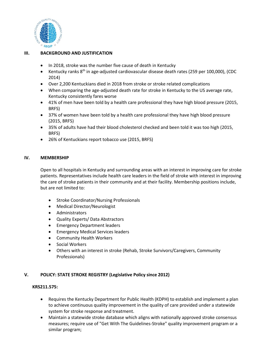

## **III. BACKGROUND AND JUSTIFICATION**

- In 2018, stroke was the number five cause of death in Kentucky
- Kentucky ranks 8<sup>th</sup> in age-adjusted cardiovascular disease death rates (259 per 100,000), (CDC 2014)
- Over 2,200 Kentuckians died in 2018 from stroke or stroke related complications
- When comparing the age-adjusted death rate for stroke in Kentucky to the US average rate, Kentucky consistently fares worse
- 41% of men have been told by a health care professional they have high blood pressure (2015, BRFS)
- 37% of women have been told by a health care professional they have high blood pressure (2015, BRFS)
- 35% of adults have had their blood cholesterol checked and been told it was too high (2015, BRFS)
- 26% of Kentuckians report tobacco use (2015, BRFS)

## **IV. MEMBERSHIP**

Open to all hospitals in Kentucky and surrounding areas with an interest in improving care for stroke patients. Representatives include health care leaders in the field of stroke with interest in improving the care of stroke patients in their community and at their facility. Membership positions include, but are not limited to:

- **•** Stroke Coordinator/Nursing Professionals
- Medical Director/Neurologist
- Administrators
- Quality Experts/ Data Abstractors
- **•** Emergency Department leaders
- Emergency Medical Services leaders
- Community Health Workers
- **•** Social Workers
- Others with an interest in stroke (Rehab, Stroke Survivors/Caregivers, Community Professionals)

## **V. POLICY: STATE STROKE REGISTRY (Legislative Policy since 2012)**

#### **KRS211.575:**

- Requires the Kentucky Department for Public Health (KDPH) to establish and implement a plan to achieve continuous quality improvement in the quality of care provided under a statewide system for stroke response and treatment.
- Maintain a statewide stroke database which aligns with nationally approved stroke consensus measures; require use of "Get With The Guidelines-Stroke" quality improvement program or a similar program;